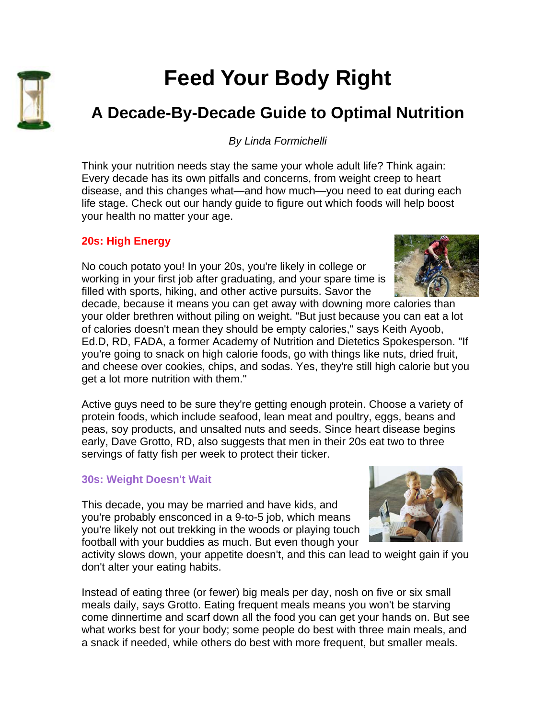

# **Feed Your Body Right**

# **A Decade-By-Decade Guide to Optimal Nutrition**

*By Linda Formichelli* 

Think your nutrition needs stay the same your whole adult life? Think again: Every decade has its own pitfalls and concerns, from weight creep to heart disease, and this changes what—and how much—you need to eat during each life stage. Check out our handy guide to figure out which foods will help boost your health no matter your age.

## **20s: High Energy**

No couch potato you! In your 20s, you're likely in college or working in your first job after graduating, and your spare time is filled with sports, hiking, and other active pursuits. Savor the



decade, because it means you can get away with downing more calories than your older brethren without piling on weight. "But just because you can eat a lot of calories doesn't mean they should be empty calories," says Keith Ayoob, Ed.D, RD, FADA, a former Academy of Nutrition and Dietetics Spokesperson. "If you're going to snack on high calorie foods, go with things like nuts, dried fruit, and cheese over cookies, chips, and sodas. Yes, they're still high calorie but you get a lot more nutrition with them."

Active guys need to be sure they're getting enough protein. Choose a variety of protein foods, which include seafood, lean meat and poultry, eggs, beans and peas, soy products, and unsalted nuts and seeds. Since heart disease begins early, Dave Grotto, RD, also suggests that men in their 20s eat two to three servings of fatty fish per week to protect their ticker.

#### **30s: Weight Doesn't Wait**

This decade, you may be married and have kids, and you're probably ensconced in a 9-to-5 job, which means you're likely not out trekking in the woods or playing touch football with your buddies as much. But even though your



Instead of eating three (or fewer) big meals per day, nosh on five or six small meals daily, says Grotto. Eating frequent meals means you won't be starving come dinnertime and scarf down all the food you can get your hands on. But see what works best for your body; some people do best with three main meals, and a snack if needed, while others do best with more frequent, but smaller meals.

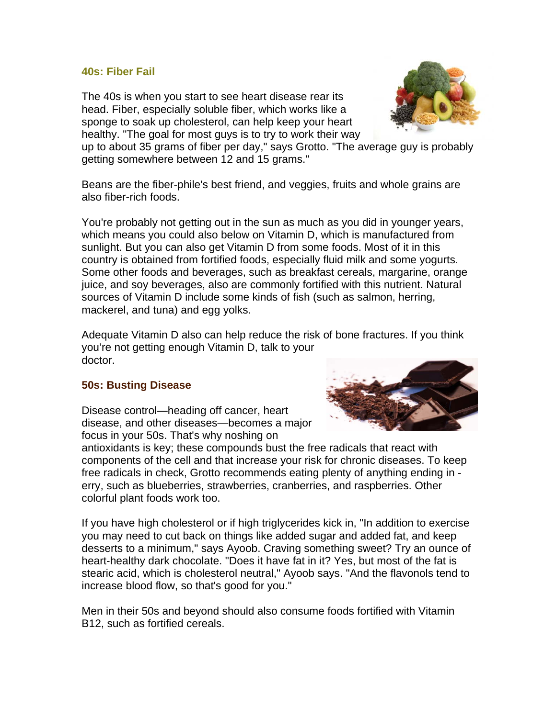#### **40s: Fiber Fail**

The 40s is when you start to see heart disease rear its head. Fiber, especially soluble fiber, which works like a sponge to soak up cholesterol, can help keep your heart healthy. "The goal for most guys is to try to work their way



up to about 35 grams of fiber per day," says Grotto. "The average guy is probably getting somewhere between 12 and 15 grams."

Beans are the fiber-phile's best friend, and veggies, fruits and whole grains are also fiber-rich foods.

You're probably not getting out in the sun as much as you did in younger years, which means you could also below on Vitamin D, which is manufactured from sunlight. But you can also get Vitamin D from some foods. Most of it in this country is obtained from fortified foods, especially fluid milk and some yogurts. Some other foods and beverages, such as breakfast cereals, margarine, orange juice, and soy beverages, also are commonly fortified with this nutrient. Natural sources of Vitamin D include some kinds of fish (such as salmon, herring, mackerel, and tuna) and egg yolks.

Adequate Vitamin D also can help reduce the risk of bone fractures. If you think you're not getting enough Vitamin D, talk to your doctor.

### **50s: Busting Disease**

Disease control—heading off cancer, heart disease, and other diseases—becomes a major focus in your 50s. That's why noshing on



antioxidants is key; these compounds bust the free radicals that react with components of the cell and that increase your risk for chronic diseases. To keep free radicals in check, Grotto recommends eating plenty of anything ending in erry, such as blueberries, strawberries, cranberries, and raspberries. Other colorful plant foods work too.

If you have high cholesterol or if high triglycerides kick in, "In addition to exercise you may need to cut back on things like added sugar and added fat, and keep desserts to a minimum," says Ayoob. Craving something sweet? Try an ounce of heart-healthy dark chocolate. "Does it have fat in it? Yes, but most of the fat is stearic acid, which is cholesterol neutral," Ayoob says. "And the flavonols tend to increase blood flow, so that's good for you."

Men in their 50s and beyond should also consume foods fortified with Vitamin B12, such as fortified cereals.